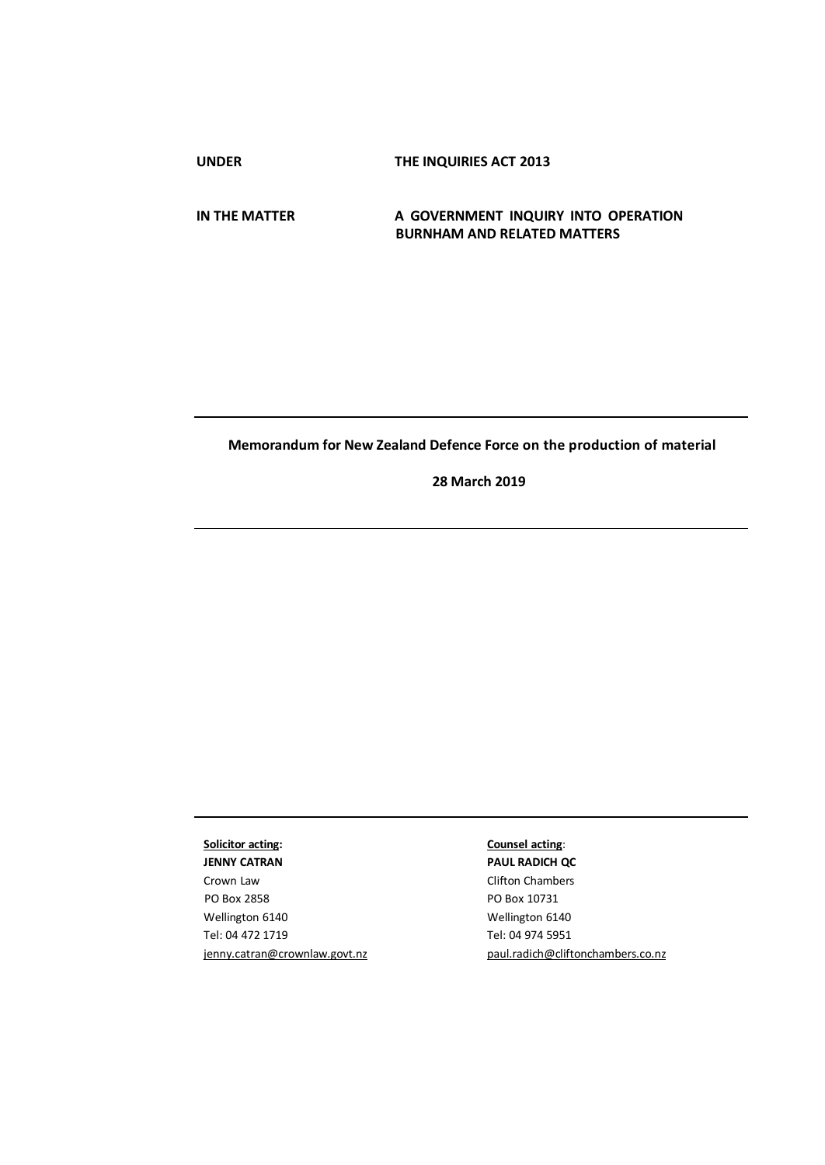**UNDER THE INQUIRIES ACT 2013**

### **IN THE MATTER A GOVERNMENT INQUIRY INTO OPERATION BURNHAM AND RELATED MATTERS**

# **Memorandum for New Zealand Defence Force on the production of material**

**28 March 2019**

# **Solicitor acting:**

**JENNY CATRAN**  Crown Law PO Box 2858 Wellington 6140 Tel: 04 472 1719 [jenny.catran@crownlaw.govt.nz](mailto:jenny.catran@crownlaw.govt.nz)

# **Counsel acting**:

**PAUL RADICH QC**  Clifton Chambers PO Box 10731 Wellington 6140 Tel: 04 974 5951 [paul.radich@cliftonchambers.co.nz](mailto:paul.radich@cliftonchambers.co.nz)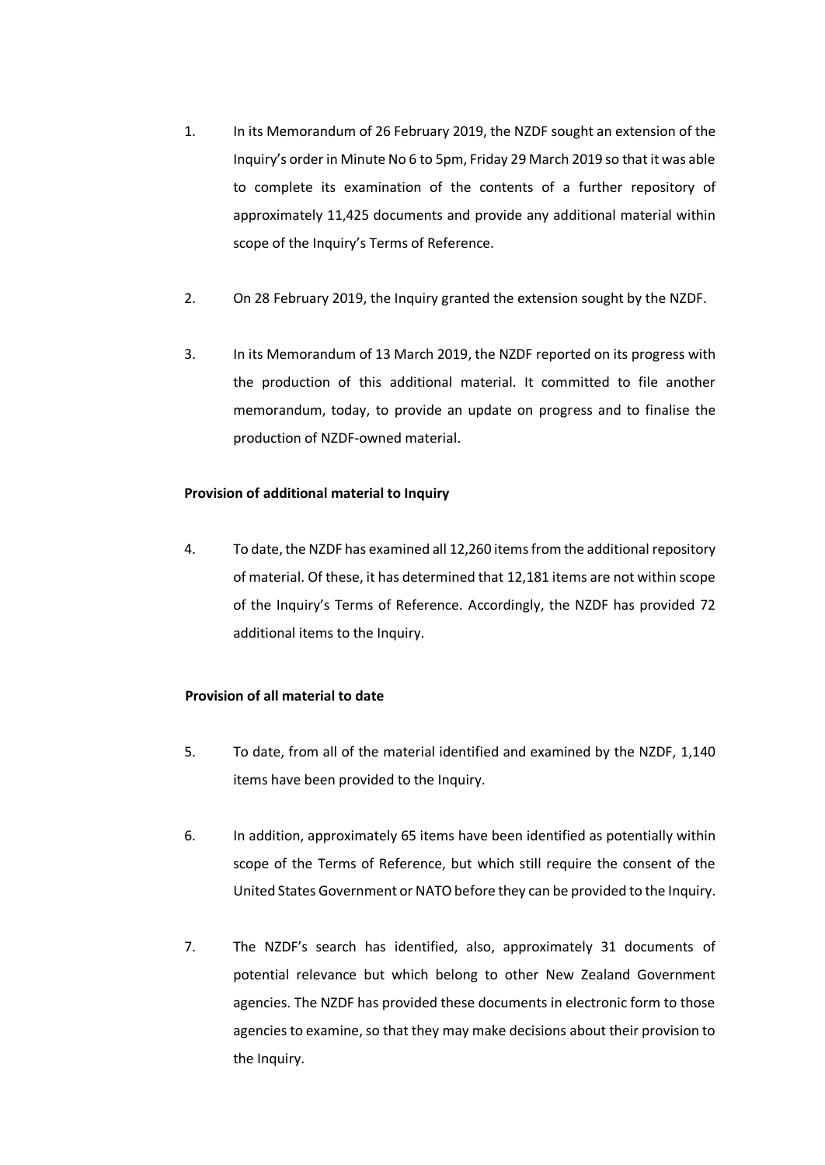- 1. In its Memorandum of 26 February 2019, the NZDF sought an extension of the Inquiry's order in Minute No 6 to 5pm, Friday 29 March 2019 so that it was able to complete its examination of the contents of a further repository of approximately 11,425 documents and provide any additional material within scope of the Inquiry's Terms of Reference.
- 2. On 28 February 2019, the Inquiry granted the extension sought by the NZDF.
- 3. In its Memorandum of 13 March 2019, the NZDF reported on its progress with the production of this additional material. It committed to file another memorandum, today, to provide an update on progress and to finalise the production of NZDF-owned material.

# **Provision of additional material to Inquiry**

4. To date, the NZDF has examined all 12,260 items from the additional repository of material. Of these, it has determined that 12,181 items are not within scope of the Inquiry's Terms of Reference. Accordingly, the NZDF has provided 72 additional items to the Inquiry.

# **Provision of all material to date**

- 5. To date, from all of the material identified and examined by the NZDF, 1,140 items have been provided to the Inquiry.
- 6. In addition, approximately 65 items have been identified as potentially within scope of the Terms of Reference, but which still require the consent of the United States Government or NATO before they can be provided to the Inquiry.
- 7. The NZDF's search has identified, also, approximately 31 documents of potential relevance but which belong to other New Zealand Government agencies. The NZDF has provided these documents in electronic form to those agencies to examine, so that they may make decisions about their provision to the Inquiry.